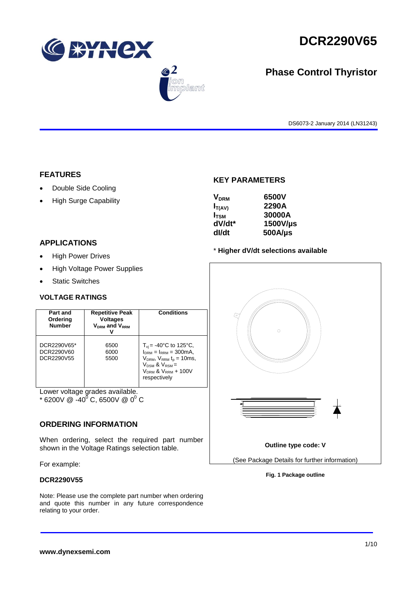

 $\bigcirc$  2

.<br>Dlamt

# **DCR2290V65**

# **Phase Control Thyristor**

DS6073-2 January 2014 (LN31243)

#### **FEATURES**

- Double Side Cooling
- High Surge Capability

#### **APPLICATIONS**

- High Power Drives
- High Voltage Power Supplies
- Static Switches

#### **VOLTAGE RATINGS**

| Part and<br>Ordering<br><b>Number</b>   | <b>Repetitive Peak</b><br><b>Voltages</b><br>V <sub>DRM</sub> and V <sub>RRM</sub> | <b>Conditions</b>                                                                                                                                                                           |
|-----------------------------------------|------------------------------------------------------------------------------------|---------------------------------------------------------------------------------------------------------------------------------------------------------------------------------------------|
| DCR2290V65*<br>DCR2290V60<br>DCR2290V55 | 6500<br>6000<br>5500                                                               | $T_{\rm vi}$ = -40°C to 125°C,<br>$I_{DRM} = I_{RRM} = 300 \text{mA}$ ,<br>$V_{DRM}$ , $V_{RRM}$ $t_{p}$ = 10ms,<br>$V_{DSM}$ & $V_{RSM}$ =<br>$V_{DRM}$ & $V_{RRM}$ + 100V<br>respectively |

Lower voltage grades available.

 $*$  6200V @ -40<sup>0</sup> C, 6500V @ 0<sup>0</sup> C

#### **ORDERING INFORMATION**

When ordering, select the required part number shown in the Voltage Ratings selection table.

#### For example:

#### **DCR2290V55**

Note: Please use the complete part number when ordering and quote this number in any future correspondence relating to your order.

### **KEY PARAMETERS**

| <b>V<sub>DRM</sub></b> | 6500V        |
|------------------------|--------------|
| $I_{T(AV)}$            | 2290A        |
| $I_{\text{TSM}}$       | 30000A       |
| dV/dt*                 | 1500V/µs     |
| dl/dt                  | $500A/\mu s$ |

#### \* **Higher dV/dt selections available**



**Fig. 1 Package outline**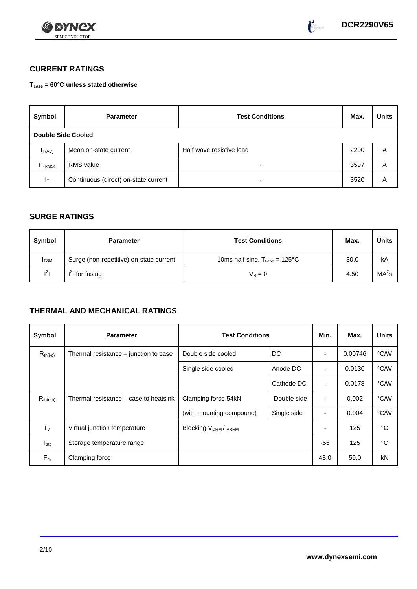



## **CURRENT RATINGS**

**Tcase = 60°C unless stated otherwise**

| Symbol                    | <b>Parameter</b>                     | <b>Test Conditions</b>   |      | <b>Units</b> |
|---------------------------|--------------------------------------|--------------------------|------|--------------|
| <b>Double Side Cooled</b> |                                      |                          |      |              |
| $I_T(AV)$                 | Mean on-state current                | Half wave resistive load | 2290 | Α            |
| I <sub>T(RMS)</sub>       | <b>RMS</b> value                     | $\overline{\phantom{0}}$ | 3597 | A            |
| $I_T$                     | Continuous (direct) on-state current | $\overline{\phantom{0}}$ | 3520 | Α            |

## **SURGE RATINGS**

| Symbol       | <b>Parameter</b>                        | <b>Test Conditions</b>                           | Max. | <b>Units</b>      |
|--------------|-----------------------------------------|--------------------------------------------------|------|-------------------|
| <b>I</b> TSM | Surge (non-repetitive) on-state current | 10ms half sine, $T_{\text{case}} = 125^{\circ}C$ | 30.0 | kA                |
| $l^2t$       | $I2t$ for fusing                        | $V_R = 0$                                        | 4.50 | MA <sup>2</sup> s |

## **THERMAL AND MECHANICAL RATINGS**

| Symbol           | <b>Parameter</b>                      | <b>Test Conditions</b>    |             | Min.                     | Max.    | <b>Units</b> |
|------------------|---------------------------------------|---------------------------|-------------|--------------------------|---------|--------------|
| $R_{th(j-c)}$    | Thermal resistance – junction to case | Double side cooled        | DC          |                          | 0.00746 | °C/W         |
|                  |                                       | Single side cooled        | Anode DC    |                          | 0.0130  | °C/W         |
|                  |                                       |                           | Cathode DC  | $\overline{\phantom{a}}$ | 0.0178  | °C/W         |
| $R_{th(c-h)}$    | Thermal resistance – case to heatsink | Clamping force 54kN       | Double side | $\blacksquare$           | 0.002   | °C/W         |
|                  |                                       | (with mounting compound)  | Single side |                          | 0.004   | °C/W         |
| $T_{\rm vj}$     | Virtual junction temperature          | <b>Blocking VDRM/VRRM</b> |             |                          | 125     | °C           |
| $T_{\text{stg}}$ | Storage temperature range             |                           |             | $-55$                    | 125     | °C           |
| $F_m$            | Clamping force                        |                           |             | 48.0                     | 59.0    | kN           |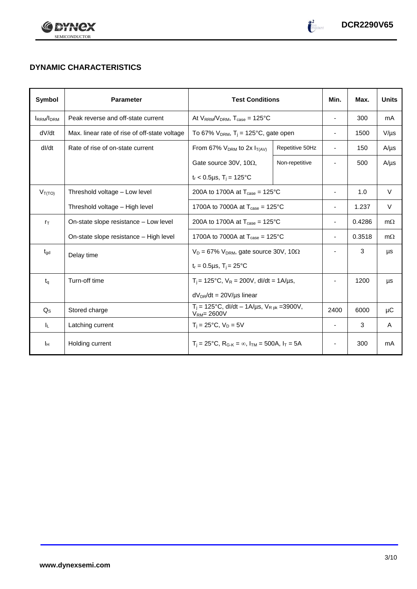



# **DYNAMIC CHARACTERISTICS**

| Symbol            | <b>Parameter</b>                              | <b>Test Conditions</b>                                                    |                 | Min.                     | Max.   | <b>Units</b> |
|-------------------|-----------------------------------------------|---------------------------------------------------------------------------|-----------------|--------------------------|--------|--------------|
| <b>IRRM</b> /IDRM | Peak reverse and off-state current            | At $V_{RRM}/V_{DRM}$ , $T_{case} = 125^{\circ}C$                          |                 | $\overline{\phantom{a}}$ | 300    | mA           |
| dV/dt             | Max. linear rate of rise of off-state voltage | To 67% $V_{DRM}$ , T <sub>i</sub> = 125°C, gate open                      |                 | $\overline{\phantom{a}}$ | 1500   | $V/\mu s$    |
| dl/dt             | Rate of rise of on-state current              | From 67% $V_{DRM}$ to 2x $I_{T(AV)}$                                      | Repetitive 50Hz | $\overline{\phantom{a}}$ | 150    | $A/\mu s$    |
|                   |                                               | Gate source 30V, 10 $\Omega$ ,                                            | Non-repetitive  |                          | 500    | $A/\mu s$    |
|                   |                                               | $t_r$ < 0.5µs, T <sub>i</sub> = 125°C                                     |                 |                          |        |              |
| $V_{T(TO)}$       | Threshold voltage - Low level                 | 200A to 1700A at $T_{\text{case}} = 125^{\circ}$ C                        |                 | $\blacksquare$           | 1.0    | V            |
|                   | Threshold voltage - High level                | 1700A to 7000A at $T_{\text{case}} = 125^{\circ}$ C                       |                 |                          | 1.237  | V            |
| $r_{\text{T}}$    | On-state slope resistance - Low level         | 200A to 1700A at $T_{\text{case}} = 125^{\circ}C$                         |                 | $\blacksquare$           | 0.4286 | $m\Omega$    |
|                   | On-state slope resistance - High level        | 1700A to 7000A at $T_{\text{case}} = 125^{\circ}$ C                       |                 | $\overline{\phantom{a}}$ | 0.3518 | $m\Omega$    |
| $t_{\text{gd}}$   | Delay time                                    | $V_D = 67\%$ V <sub>DRM</sub> , gate source 30V, 10 $\Omega$              |                 |                          | 3      | μs           |
|                   |                                               | $t_r = 0.5 \mu s$ , $T_i = 25^{\circ}C$                                   |                 |                          |        |              |
| $t_q$             | Turn-off time                                 | $T_i$ = 125°C, $V_R$ = 200V, dl/dt = 1A/µs,                               |                 |                          | 1200   | μs           |
|                   |                                               | $dV_{DR}/dt = 20V/\mu s$ linear                                           |                 |                          |        |              |
| $Q_{\rm S}$       | Stored charge                                 | $T_i = 125^{\circ}C$ , dl/dt – 1A/µs, $V_{Rpk} = 3900V$ ,<br>$VRM= 2600V$ |                 | 2400                     | 6000   | μC           |
| ΙL.               | Latching current                              | $T_i = 25^{\circ}C$ , $V_D = 5V$                                          |                 | ÷,                       | 3      | A            |
| Iн                | Holding current                               | $T_i = 25^{\circ}C$ , $R_{G-K} = \infty$ , $I_{TM} = 500A$ , $I_T = 5A$   |                 |                          | 300    | mA           |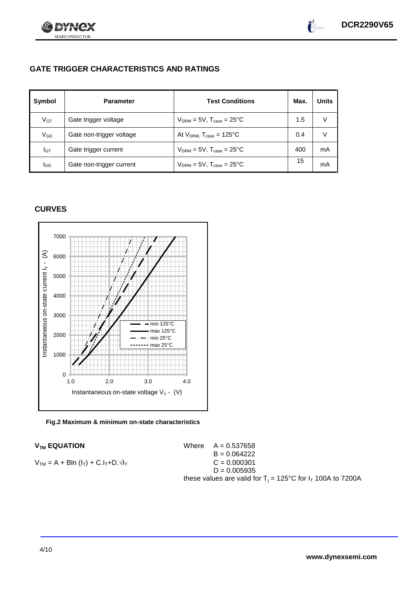

 $\int_{0}^{2}$ 

# **GATE TRIGGER CHARACTERISTICS AND RATINGS**

| Symbol          | <b>Parameter</b>         | <b>Test Conditions</b>                    | Max. | <b>Units</b> |
|-----------------|--------------------------|-------------------------------------------|------|--------------|
| V <sub>GT</sub> | Gate trigger voltage     | $V_{DRM} = 5V$ , $T_{case} = 25^{\circ}C$ | 1.5  |              |
| $V_{GD}$        | Gate non-trigger voltage | At $V_{DRM}$ , $T_{case} = 125^{\circ}C$  | 0.4  |              |
| Iст             | Gate trigger current     | $V_{DRM} = 5V$ , $T_{case} = 25^{\circ}C$ | 400  | mA           |
| lgp             | Gate non-trigger current | $V_{DRM} = 5V$ , $T_{case} = 25^{\circ}C$ | 15   | mA           |

## **CURVES**





#### **V<sub>TM</sub> EQUATION**

| $VTM$ EQUATION                                  | Where $A = 0.537658$                                                    |
|-------------------------------------------------|-------------------------------------------------------------------------|
|                                                 | $B = 0.064222$                                                          |
| $V_{TM} = A + BIn (I_T) + C.I_T + D.\sqrt{I_T}$ | $C = 0.000301$                                                          |
|                                                 | $D = 0.005935$                                                          |
|                                                 | these values are valid for $T_i = 125^{\circ}C$ for $I_T$ 100A to 7200A |
|                                                 |                                                                         |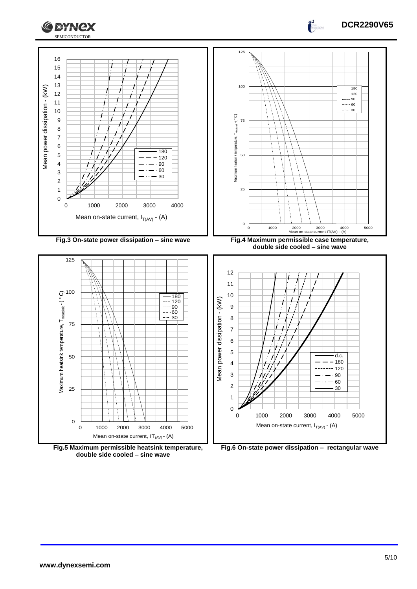



 $\frac{1}{2}$ 



**Fig.6 On-state power dissipation – rectangular wave**

**Fig.5 Maximum permissible heatsink temperature, double side cooled – sine wave**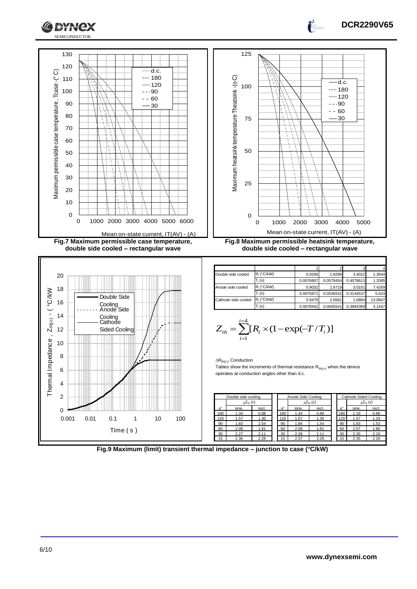

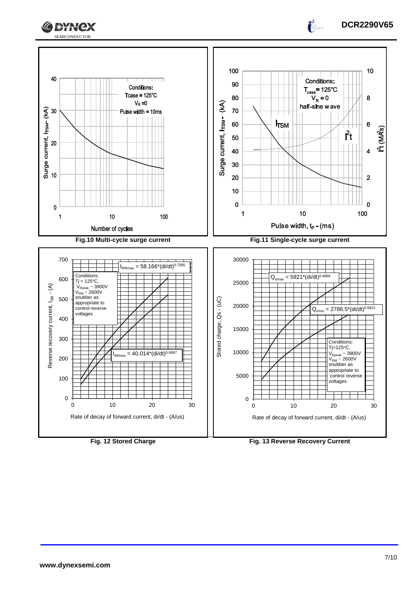



 $\frac{1}{2}$ 

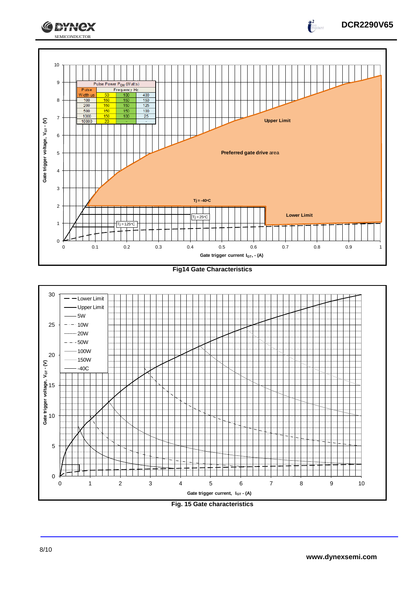





![](_page_7_Figure_3.jpeg)

SEMICONDUCTOR

**CEYNEX**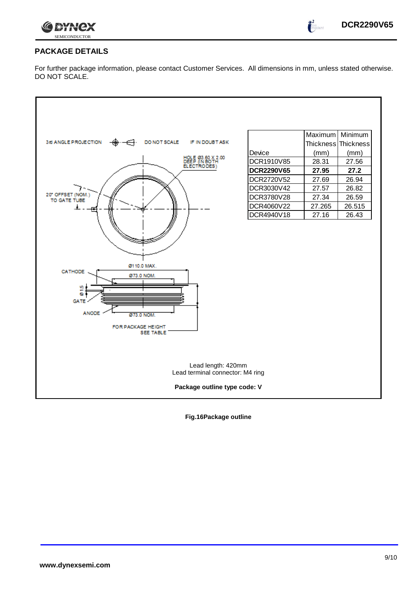![](_page_8_Picture_0.jpeg)

 $\int_0^2$ 

## **PACKAGE DETAILS**

For further package information, please contact Customer Services. All dimensions in mm, unless stated otherwise. DO NOT SCALE.

![](_page_8_Figure_4.jpeg)

**Fig.16Package outline**